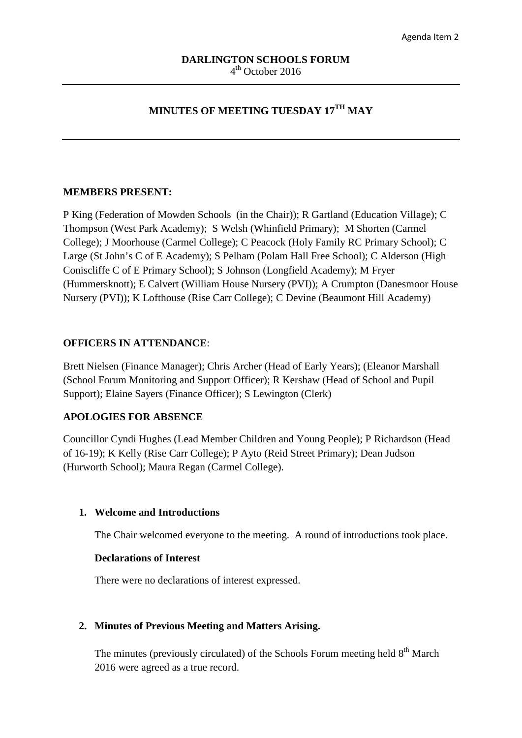# **MINUTES OF MEETING TUESDAY 17TH MAY**

## **MEMBERS PRESENT:**

P King (Federation of Mowden Schools (in the Chair)); R Gartland (Education Village); C Thompson (West Park Academy); S Welsh (Whinfield Primary); M Shorten (Carmel College); J Moorhouse (Carmel College); C Peacock (Holy Family RC Primary School); C Large (St John's C of E Academy); S Pelham (Polam Hall Free School); C Alderson (High Coniscliffe C of E Primary School); S Johnson (Longfield Academy); M Fryer (Hummersknott); E Calvert (William House Nursery (PVI)); A Crumpton (Danesmoor House Nursery (PVI)); K Lofthouse (Rise Carr College); C Devine (Beaumont Hill Academy)

### **OFFICERS IN ATTENDANCE**:

Brett Nielsen (Finance Manager); Chris Archer (Head of Early Years); (Eleanor Marshall (School Forum Monitoring and Support Officer); R Kershaw (Head of School and Pupil Support); Elaine Sayers (Finance Officer); S Lewington (Clerk)

## **APOLOGIES FOR ABSENCE**

Councillor Cyndi Hughes (Lead Member Children and Young People); P Richardson (Head of 16-19); K Kelly (Rise Carr College); P Ayto (Reid Street Primary); Dean Judson (Hurworth School); Maura Regan (Carmel College).

### **1. Welcome and Introductions**

The Chair welcomed everyone to the meeting. A round of introductions took place.

### **Declarations of Interest**

There were no declarations of interest expressed.

### **2. Minutes of Previous Meeting and Matters Arising.**

The minutes (previously circulated) of the Schools Forum meeting held  $8<sup>th</sup>$  March 2016 were agreed as a true record.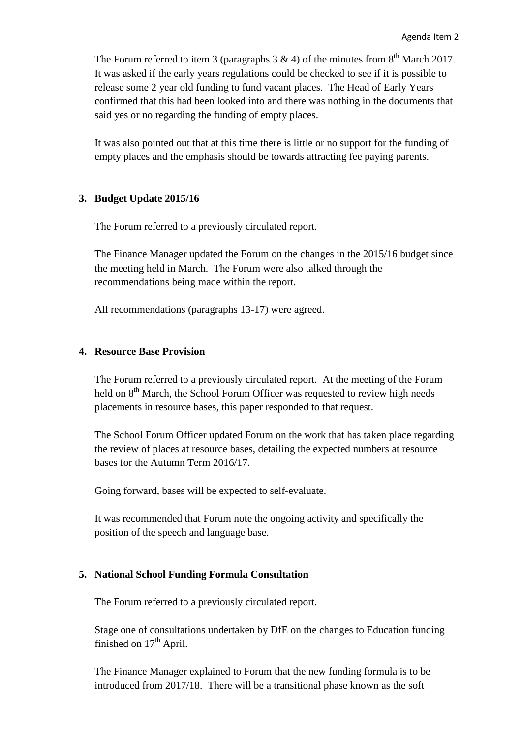The Forum referred to item 3 (paragraphs  $3 \& 4$ ) of the minutes from  $8<sup>th</sup>$  March 2017. It was asked if the early years regulations could be checked to see if it is possible to release some 2 year old funding to fund vacant places. The Head of Early Years confirmed that this had been looked into and there was nothing in the documents that said yes or no regarding the funding of empty places.

It was also pointed out that at this time there is little or no support for the funding of empty places and the emphasis should be towards attracting fee paying parents.

## **3. Budget Update 2015/16**

The Forum referred to a previously circulated report.

The Finance Manager updated the Forum on the changes in the 2015/16 budget since the meeting held in March. The Forum were also talked through the recommendations being made within the report.

All recommendations (paragraphs 13-17) were agreed.

### **4. Resource Base Provision**

The Forum referred to a previously circulated report. At the meeting of the Forum held on  $8<sup>th</sup>$  March, the School Forum Officer was requested to review high needs placements in resource bases, this paper responded to that request.

The School Forum Officer updated Forum on the work that has taken place regarding the review of places at resource bases, detailing the expected numbers at resource bases for the Autumn Term 2016/17.

Going forward, bases will be expected to self-evaluate.

It was recommended that Forum note the ongoing activity and specifically the position of the speech and language base.

## **5. National School Funding Formula Consultation**

The Forum referred to a previously circulated report.

Stage one of consultations undertaken by DfE on the changes to Education funding finished on  $17<sup>th</sup>$  April.

The Finance Manager explained to Forum that the new funding formula is to be introduced from 2017/18. There will be a transitional phase known as the soft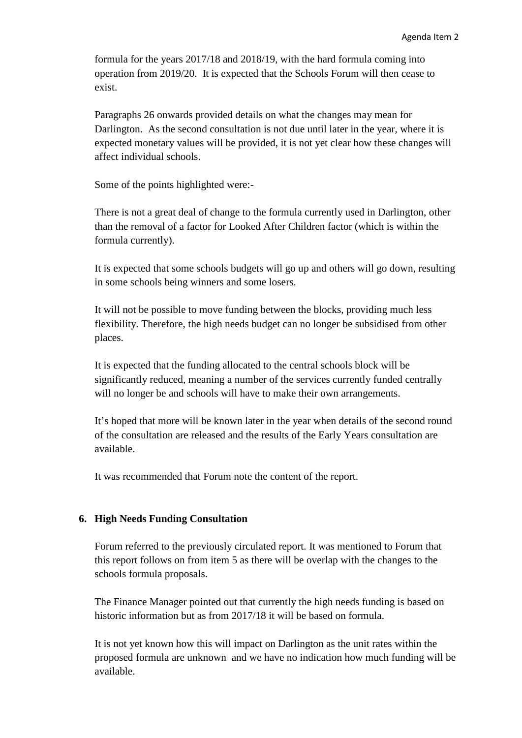formula for the years 2017/18 and 2018/19, with the hard formula coming into operation from 2019/20. It is expected that the Schools Forum will then cease to exist.

Paragraphs 26 onwards provided details on what the changes may mean for Darlington. As the second consultation is not due until later in the year, where it is expected monetary values will be provided, it is not yet clear how these changes will affect individual schools.

Some of the points highlighted were:-

There is not a great deal of change to the formula currently used in Darlington, other than the removal of a factor for Looked After Children factor (which is within the formula currently).

It is expected that some schools budgets will go up and others will go down, resulting in some schools being winners and some losers.

It will not be possible to move funding between the blocks, providing much less flexibility. Therefore, the high needs budget can no longer be subsidised from other places.

It is expected that the funding allocated to the central schools block will be significantly reduced, meaning a number of the services currently funded centrally will no longer be and schools will have to make their own arrangements.

It's hoped that more will be known later in the year when details of the second round of the consultation are released and the results of the Early Years consultation are available.

It was recommended that Forum note the content of the report.

# **6. High Needs Funding Consultation**

Forum referred to the previously circulated report. It was mentioned to Forum that this report follows on from item 5 as there will be overlap with the changes to the schools formula proposals.

The Finance Manager pointed out that currently the high needs funding is based on historic information but as from 2017/18 it will be based on formula.

It is not yet known how this will impact on Darlington as the unit rates within the proposed formula are unknown and we have no indication how much funding will be available.